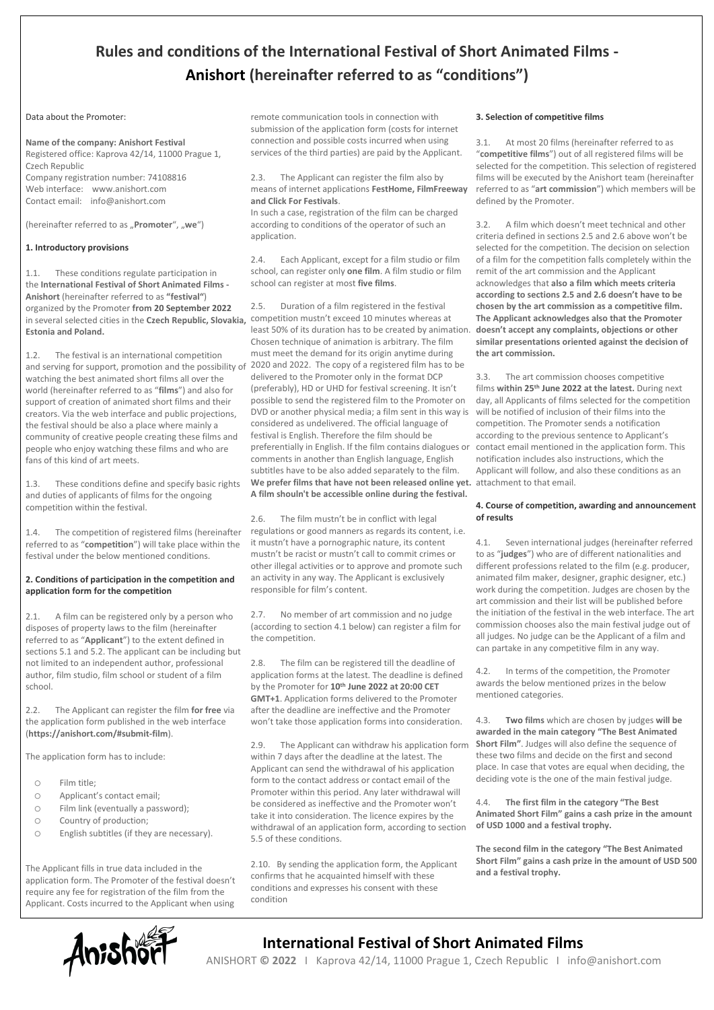### **Rules and conditions of the International Festival of Short Animated Films - Anishort (hereinafter referred to as "conditions")**

### Data about the Promoter:

### **Name of the company: Anishort Festival**

Registered office: Kaprova 42/14, 11000 Prague 1, Czech Republic Company registration number: 74108816 Web interface: www.anishort.com Contact email: info@anishort.com

(hereinafter referred to as "Promoter", "we")

### **1. Introductory provisions**

1.1. These conditions regulate participation in the **International Festival of Short Animated Films - Anishort** (hereinafter referred to as **"festival"**) organized by the Promoter **from 20 September 2022** in several selected cities in the **Czech Republic, Slovakia,**  competition mustn't exceed 10 minutes whereas at **Estonia and Poland.**

1.2. The festival is an international competition and serving for support, promotion and the possibility of 2020 and 2022. The copy of a registered film has to be watching the best animated short films all over the world (hereinafter referred to as "**films**") and also for support of creation of animated short films and their creators. Via the web interface and public projections, the festival should be also a place where mainly a community of creative people creating these films and people who enjoy watching these films and who are fans of this kind of art meets.

These conditions define and specify basic rights and duties of applicants of films for the ongoing competition within the festival.

1.4. The competition of registered films (hereinafter referred to as "**competition**") will take place within the festival under the below mentioned conditions.

### **2. Conditions of participation in the competition and application form for the competition**

2.1. A film can be registered only by a person who disposes of property laws to the film (hereinafter referred to as "**Applicant**") to the extent defined in sections 5.1 and 5.2. The applicant can be including but not limited to an independent author, professional author, film studio, film school or student of a film school.

2.2. The Applicant can register the film **for free** via the application form published in the web interface (**https://anishort.com/#submit-film**).

The application form has to include:

- o Film title;
- o Applicant's contact email;
- o Film link (eventually a password);
- o Country of production;
- o English subtitles (if they are necessary).

The Applicant fills in true data included in the application form. The Promoter of the festival doesn't require any fee for registration of the film from the Applicant. Costs incurred to the Applicant when using

remote communication tools in connection with submission of the application form (costs for internet connection and possible costs incurred when using services of the third parties) are paid by the Applicant.

2.3. The Applicant can register the film also by means of internet applications **FestHome, FilmFreeway and Click For Festivals**.

In such a case, registration of the film can be charged according to conditions of the operator of such an application.

2.4. Each Applicant, except for a film studio or film school, can register only **one film**. A film studio or film school can register at most **five films**.

2.5. Duration of a film registered in the festival least 50% of its duration has to be created by animation. Chosen technique of animation is arbitrary. The film must meet the demand for its origin anytime during delivered to the Promoter only in the format DCP (preferably), HD or UHD for festival screening. It isn't possible to send the registered film to the Promoter on DVD or another physical media; a film sent in this way is considered as undelivered. The official language of festival is English. Therefore the film should be preferentially in English. If the film contains dialogues or comments in another than English language, English subtitles have to be also added separately to the film. **We prefer films that have not been released online yet.**  attachment to that email. **A film shouln't be accessible online during the festival.**

2.6. The film mustn't be in conflict with legal regulations or good manners as regards its content, i.e. it mustn't have a pornographic nature, its content mustn't be racist or mustn't call to commit crimes or other illegal activities or to approve and promote such an activity in any way. The Applicant is exclusively responsible for film's content.

2.7. No member of art commission and no judge (according to section 4.1 below) can register a film for the competition.

The film can be registered till the deadline of application forms at the latest. The deadline is defined by the Promoter for **10th June 2022 at 20:00 CET GMT+1**. Application forms delivered to the Promoter after the deadline are ineffective and the Promoter won't take those application forms into consideration.

2.9. The Applicant can withdraw his application form within 7 days after the deadline at the latest. The Applicant can send the withdrawal of his application form to the contact address or contact email of the Promoter within this period. Any later withdrawal will be considered as ineffective and the Promoter won't take it into consideration. The licence expires by the withdrawal of an application form, according to section 5.5 of these conditions.

2.10. By sending the application form, the Applicant confirms that he acquainted himself with these conditions and expresses his consent with these condition

### **3. Selection of competitive films**

3.1. At most 20 films (hereinafter referred to as "**competitive films**") out of all registered films will be selected for the competition. This selection of registered films will be executed by the Anishort team (hereinafter referred to as "**art commission**") which members will be defined by the Promoter.

3.2. A film which doesn't meet technical and other criteria defined in sections 2.5 and 2.6 above won't be selected for the competition. The decision on selection of a film for the competition falls completely within the remit of the art commission and the Applicant acknowledges that **also a film which meets criteria according to sections 2.5 and 2.6 doesn't have to be chosen by the art commission as a competitive film. The Applicant acknowledges also that the Promoter doesn't accept any complaints, objections or other similar presentations oriented against the decision of the art commission.**

3.3. The art commission chooses competitive films **within 25th June 2022 at the latest.** During next day, all Applicants of films selected for the competition will be notified of inclusion of their films into the competition. The Promoter sends a notification according to the previous sentence to Applicant's contact email mentioned in the application form. This notification includes also instructions, which the Applicant will follow, and also these conditions as an

### **4. Course of competition, awarding and announcement of results**

4.1. Seven international judges (hereinafter referred to as "**judges**") who are of different nationalities and different professions related to the film (e.g. producer, animated film maker, designer, graphic designer, etc.) work during the competition. Judges are chosen by the art commission and their list will be published before the initiation of the festival in the web interface. The art commission chooses also the main festival judge out of all judges. No judge can be the Applicant of a film and can partake in any competitive film in any way.

4.2. In terms of the competition, the Promoter awards the below mentioned prizes in the below mentioned categories.

4.3. **Two films** which are chosen by judges **will be awarded in the main category "The Best Animated Short Film"**. Judges will also define the sequence of these two films and decide on the first and second place. In case that votes are equal when deciding, the deciding vote is the one of the main festival judge.

4.4. **The first film in the category "The Best Animated Short Film" gains a cash prize in the amount of USD 1000 and a festival trophy.**

**The second film in the category "The Best Animated Short Film" gains a cash prize in the amount of USD 500 and a festival trophy.**



## **ANISHOPE ANISHORT @ 2022 | Kaprova 42/14, 11000 Prague 1, Czech Republic | info**

ANISHORT **© 2022** I Kaprova 42/14, 11000 Prague 1, Czech Republic I info@anishort.com